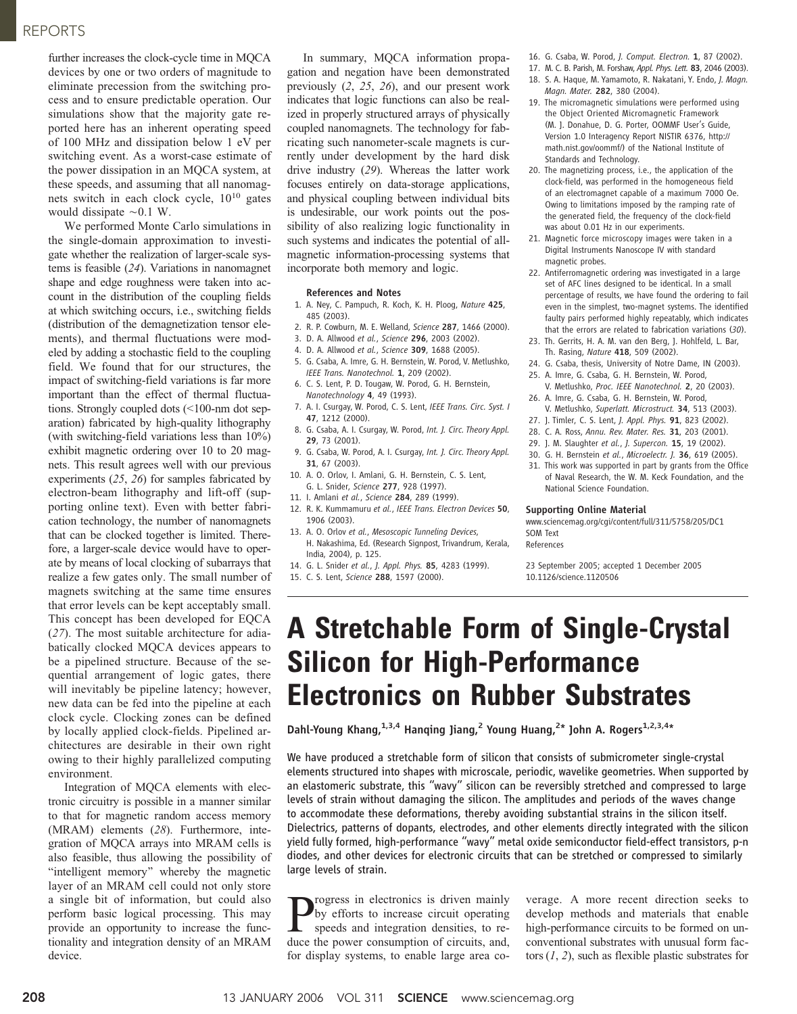## REPORTS

further increases the clock-cycle time in MQCA devices by one or two orders of magnitude to eliminate precession from the switching process and to ensure predictable operation. Our simulations show that the majority gate reported here has an inherent operating speed of 100 MHz and dissipation below 1 eV per switching event. As a worst-case estimate of the power dissipation in an MQCA system, at these speeds, and assuming that all nanomagnets switch in each clock cycle, 1010 gates would dissipate  $\sim 0.1$  W.

We performed Monte Carlo simulations in the single-domain approximation to investigate whether the realization of larger-scale systems is feasible (24). Variations in nanomagnet shape and edge roughness were taken into account in the distribution of the coupling fields at which switching occurs, i.e., switching fields (distribution of the demagnetization tensor elements), and thermal fluctuations were modeled by adding a stochastic field to the coupling field. We found that for our structures, the impact of switching-field variations is far more important than the effect of thermal fluctuations. Strongly coupled dots  $\left($  < 100-nm dot separation) fabricated by high-quality lithography (with switching-field variations less than 10%) exhibit magnetic ordering over 10 to 20 magnets. This result agrees well with our previous experiments (25, 26) for samples fabricated by electron-beam lithography and lift-off (supporting online text). Even with better fabrication technology, the number of nanomagnets that can be clocked together is limited. Therefore, a larger-scale device would have to operate by means of local clocking of subarrays that realize a few gates only. The small number of magnets switching at the same time ensures that error levels can be kept acceptably small. This concept has been developed for EQCA (27). The most suitable architecture for adiabatically clocked MQCA devices appears to be a pipelined structure. Because of the sequential arrangement of logic gates, there will inevitably be pipeline latency; however, new data can be fed into the pipeline at each clock cycle. Clocking zones can be defined by locally applied clock-fields. Pipelined architectures are desirable in their own right owing to their highly parallelized computing environment.

Integration of MQCA elements with electronic circuitry is possible in a manner similar to that for magnetic random access memory (MRAM) elements (28). Furthermore, integration of MQCA arrays into MRAM cells is also feasible, thus allowing the possibility of "intelligent memory" whereby the magnetic layer of an MRAM cell could not only store a single bit of information, but could also perform basic logical processing. This may provide an opportunity to increase the functionality and integration density of an MRAM device.

In summary, MQCA information propagation and negation have been demonstrated previously (2, 25, 26), and our present work indicates that logic functions can also be realized in properly structured arrays of physically coupled nanomagnets. The technology for fabricating such nanometer-scale magnets is currently under development by the hard disk drive industry (29). Whereas the latter work focuses entirely on data-storage applications, and physical coupling between individual bits is undesirable, our work points out the possibility of also realizing logic functionality in such systems and indicates the potential of allmagnetic information-processing systems that incorporate both memory and logic.

#### References and Notes

- 1. A. Ney, C. Pampuch, R. Koch, K. H. Ploog, Nature 425, 485 (2003).
- 2. R. P. Cowburn, M. E. Welland, Science 287, 1466 (2000).
- 3. D. A. Allwood et al., Science 296, 2003 (2002).
- 4. D. A. Allwood et al., Science 309, 1688 (2005).
- 5. G. Csaba, A. Imre, G. H. Bernstein, W. Porod, V. Metlushko, IEEE Trans. Nanotechnol. 1, 209 (2002).
- 6. C. S. Lent, P. D. Tougaw, W. Porod, G. H. Bernstein, Nanotechnology 4, 49 (1993).
- 7. A. I. Csurgay, W. Porod, C. S. Lent, IEEE Trans. Circ. Syst. I 47, 1212 (2000).
- 8. G. Csaba, A. I. Csurgay, W. Porod, Int. J. Circ. Theory Appl. 29, 73 (2001).
- 9. G. Csaba, W. Porod, A. I. Csurgay, Int. J. Circ. Theory Appl. 31, 67 (2003).
- 10. A. O. Orlov, I. Amlani, G. H. Bernstein, C. S. Lent, G. L. Snider, Science 277, 928 (1997).
- 11. I. Amlani et al., Science 284, 289 (1999).
- 12. R. K. Kummamuru et al., IEEE Trans. Electron Devices 50, 1906 (2003).
- 13. A. O. Orlov et al., Mesoscopic Tunneling Devices, H. Nakashima, Ed. (Research Signpost, Trivandrum, Kerala, India, 2004), p. 125.
- 14. G. L. Snider et al., J. Appl. Phys. 85, 4283 (1999).
- 15. C. S. Lent, Science 288, 1597 (2000).
- 16. G. Csaba, W. Porod, J. Comput. Electron. 1, 87 (2002).
- 17. M. C. B. Parish, M. Forshaw, Appl. Phys. Lett. 83, 2046 (2003).
- 18. S. A. Haque, M. Yamamoto, R. Nakatani, Y. Endo, J. Magn. Magn. Mater. 282, 380 (2004).
- 19. The micromagnetic simulations were performed using the Object Oriented Micromagnetic Framework (M. J. Donahue, D. G. Porter, OOMMF User's Guide, Version 1.0 Interagency Report NISTIR 6376, http:// math.nist.gov/oommf/) of the National Institute of Standards and Technology.
- 20. The magnetizing process, i.e., the application of the clock-field, was performed in the homogeneous field of an electromagnet capable of a maximum 7000 Oe. Owing to limitations imposed by the ramping rate of the generated field, the frequency of the clock-field was about 0.01 Hz in our experiments.
- 21. Magnetic force microscopy images were taken in a Digital Instruments Nanoscope IV with standard magnetic probes
- 22. Antiferromagnetic ordering was investigated in a large set of AFC lines designed to be identical. In a small percentage of results, we have found the ordering to fail even in the simplest, two-magnet systems. The identified faulty pairs performed highly repeatably, which indicates that the errors are related to fabrication variations (30).
- 23. Th. Gerrits, H. A. M. van den Berg, J. Hohlfeld, L. Bar, Th. Rasing, Nature 418, 509 (2002).
- 24. G. Csaba, thesis, University of Notre Dame, IN (2003).
- 25. A. Imre, G. Csaba, G. H. Bernstein, W. Porod, V. Metlushko, Proc. IEEE Nanotechnol. 2, 20 (2003).
- 26. A. Imre, G. Csaba, G. H. Bernstein, W. Porod, V. Metlushko, Superlatt. Microstruct. 34, 513 (2003).
- 27. J. Timler, C. S. Lent, J. Appl. Phys. 91, 823 (2002).
- 28. C. A. Ross, Annu. Rev. Mater. Res. 31, 203 (2001).
- 29. J. M. Slaughter et al., J. Supercon. 15, 19 (2002).
- 30. G. H. Bernstein et al., Microelectr. J. 36, 619 (2005).
- 31. This work was supported in part by grants from the Office of Naval Research, the W. M. Keck Foundation, and the National Science Foundation.

#### Supporting Online Material

www.sciencemag.org/cgi/content/full/311/5758/205/DC1 SOM Text References

23 September 2005; accepted 1 December 2005 10.1126/science.1120506

## A Stretchable Form of Single-Crystal Silicon for High-Performance Electronics on Rubber Substrates

Dahl-Young Khang, <sup>1,3,4</sup> Hanqing Jiang, <sup>2</sup> Young Huang, <sup>2\*</sup> John A. Rogers<sup>1,2,3,4\*</sup>

We have produced a stretchable form of silicon that consists of submicrometer single-crystal elements structured into shapes with microscale, periodic, wavelike geometries. When supported by an elastomeric substrate, this ''wavy'' silicon can be reversibly stretched and compressed to large levels of strain without damaging the silicon. The amplitudes and periods of the waves change to accommodate these deformations, thereby avoiding substantial strains in the silicon itself. Dielectrics, patterns of dopants, electrodes, and other elements directly integrated with the silicon yield fully formed, high-performance ''wavy'' metal oxide semiconductor field-effect transistors, p-n diodes, and other devices for electronic circuits that can be stretched or compressed to similarly large levels of strain.

P<br>duce 1 rogress in electronics is driven mainly by efforts to increase circuit operating speeds and integration densities, to reduce the power consumption of circuits, and, for display systems, to enable large area co-

verage. A more recent direction seeks to develop methods and materials that enable high-performance circuits to be formed on unconventional substrates with unusual form factors  $(1, 2)$ , such as flexible plastic substrates for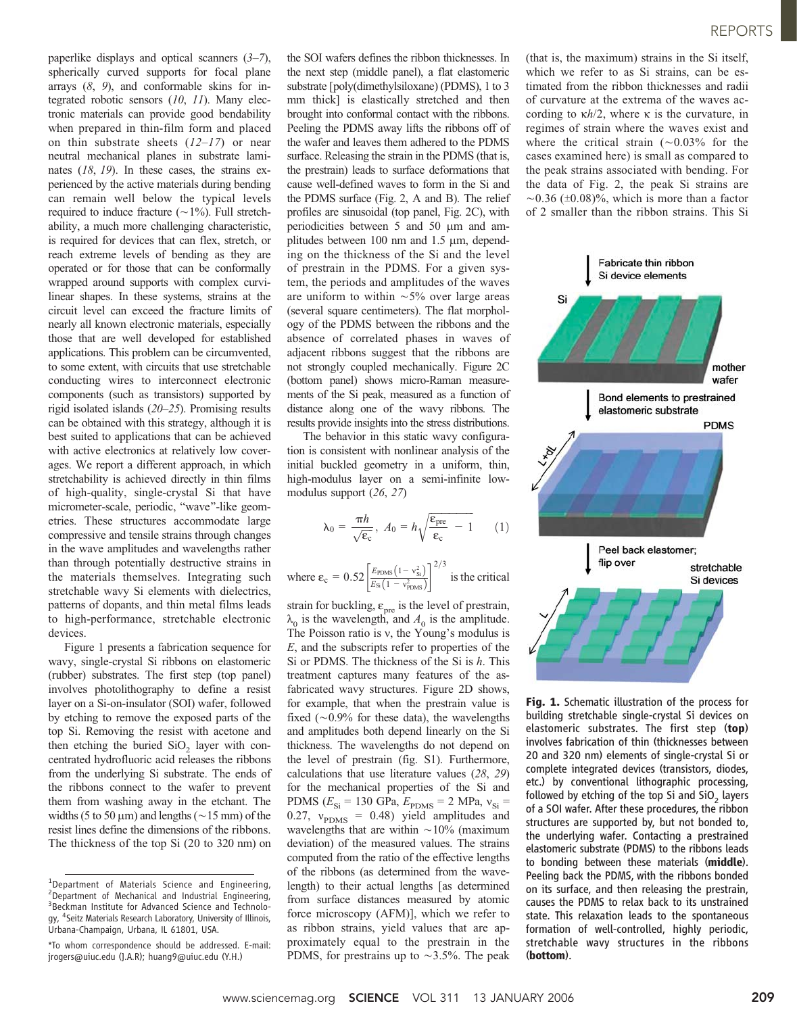paperlike displays and optical scanners  $(3-7)$ , spherically curved supports for focal plane arrays  $(8, 9)$ , and conformable skins for integrated robotic sensors (10, 11). Many electronic materials can provide good bendability when prepared in thin-film form and placed on thin substrate sheets  $(12-17)$  or near neutral mechanical planes in substrate laminates (18, 19). In these cases, the strains experienced by the active materials during bending can remain well below the typical levels required to induce fracture  $(\sim 1\%)$ . Full stretchability, a much more challenging characteristic, is required for devices that can flex, stretch, or reach extreme levels of bending as they are operated or for those that can be conformally wrapped around supports with complex curvilinear shapes. In these systems, strains at the circuit level can exceed the fracture limits of nearly all known electronic materials, especially those that are well developed for established applications. This problem can be circumvented, to some extent, with circuits that use stretchable conducting wires to interconnect electronic components (such as transistors) supported by rigid isolated islands (20–25). Promising results can be obtained with this strategy, although it is best suited to applications that can be achieved with active electronics at relatively low coverages. We report a different approach, in which stretchability is achieved directly in thin films of high-quality, single-crystal Si that have micrometer-scale, periodic, "wave"-like geometries. These structures accommodate large compressive and tensile strains through changes in the wave amplitudes and wavelengths rather than through potentially destructive strains in the materials themselves. Integrating such stretchable wavy Si elements with dielectrics, patterns of dopants, and thin metal films leads to high-performance, stretchable electronic devices.

Figure 1 presents a fabrication sequence for wavy, single-crystal Si ribbons on elastomeric (rubber) substrates. The first step (top panel) involves photolithography to define a resist layer on a Si-on-insulator (SOI) wafer, followed by etching to remove the exposed parts of the top Si. Removing the resist with acetone and then etching the buried SiO<sub>2</sub> layer with concentrated hydrofluoric acid releases the ribbons from the underlying Si substrate. The ends of the ribbons connect to the wafer to prevent them from washing away in the etchant. The widths (5 to 50  $\mu$ m) and lengths ( $\sim$  15 mm) of the resist lines define the dimensions of the ribbons. The thickness of the top Si (20 to 320 nm) on

the SOI wafers defines the ribbon thicknesses. In the next step (middle panel), a flat elastomeric substrate [poly(dimethylsiloxane) (PDMS), 1 to 3 mm thick] is elastically stretched and then brought into conformal contact with the ribbons. Peeling the PDMS away lifts the ribbons off of the wafer and leaves them adhered to the PDMS surface. Releasing the strain in the PDMS (that is, the prestrain) leads to surface deformations that cause well-defined waves to form in the Si and the PDMS surface (Fig. 2, A and B). The relief profiles are sinusoidal (top panel, Fig. 2C), with periodicities between  $5$  and  $50 \mu m$  and amplitudes between  $100 \text{ nm}$  and  $1.5 \mu \text{m}$ , depending on the thickness of the Si and the level of prestrain in the PDMS. For a given system, the periods and amplitudes of the waves are uniform to within  $\sim$  5% over large areas (several square centimeters). The flat morphology of the PDMS between the ribbons and the absence of correlated phases in waves of adjacent ribbons suggest that the ribbons are not strongly coupled mechanically. Figure 2C (bottom panel) shows micro-Raman measurements of the Si peak, measured as a function of distance along one of the wavy ribbons. The results provide insights into the stress distributions.

The behavior in this static wavy configuration is consistent with nonlinear analysis of the initial buckled geometry in a uniform, thin, high-modulus layer on a semi-infinite lowmodulus support (26, 27)

$$
\lambda_0 = \frac{\pi h}{\sqrt{\epsilon_c}}, \ A_0 = h \sqrt{\frac{\epsilon_{pre}}{\epsilon_c} - 1} \qquad (1)
$$

where  $\varepsilon_c = 0.52 \left[ \frac{E_{\text{PDMS}} (1 - v_{\text{Si}}^2)}{E_{\text{Si}} (1 - v_{\text{PDMS}}^2)} \right]^{2/3}$ is the critical

strain for buckling,  $\varepsilon_{pre}$  is the level of prestrain,  $\lambda_0$  is the wavelength, and  $A_0$  is the amplitude. The Poisson ratio is  $v$ , the Young's modulus is  $E$ , and the subscripts refer to properties of the Si or PDMS. The thickness of the Si is  $h$ . This treatment captures many features of the asfabricated wavy structures. Figure 2D shows, for example, that when the prestrain value is fixed  $(\sim 0.9\%$  for these data), the wavelengths and amplitudes both depend linearly on the Si thickness. The wavelengths do not depend on the level of prestrain (fig. S1). Furthermore, calculations that use literature values (28, 29) for the mechanical properties of the Si and PDMS ( $E_{\text{Si}}$  = 130 GPa,  $E_{\text{PDMS}}$  = 2 MPa,  $v_{\text{Si}}$  = 0.27,  $v_{\text{PDMS}} = 0.48$ ) yield amplitudes and wavelengths that are within  $\sim$ 10% (maximum deviation) of the measured values. The strains computed from the ratio of the effective lengths of the ribbons (as determined from the wavelength) to their actual lengths [as determined from surface distances measured by atomic force microscopy (AFM)], which we refer to as ribbon strains, yield values that are approximately equal to the prestrain in the PDMS, for prestrains up to  $\sim$ 3.5%. The peak

(that is, the maximum) strains in the Si itself, which we refer to as Si strains, can be estimated from the ribbon thicknesses and radii of curvature at the extrema of the waves according to  $\kappa h/2$ , where  $\kappa$  is the curvature, in regimes of strain where the waves exist and where the critical strain  $(\sim 0.03\%$  for the cases examined here) is small as compared to the peak strains associated with bending. For the data of Fig. 2, the peak Si strains are  $\sim$ 0.36 ( $\pm$ 0.08)%, which is more than a factor of 2 smaller than the ribbon strains. This Si



Fig. 1. Schematic illustration of the process for building stretchable single-crystal Si devices on elastomeric substrates. The first step (top) involves fabrication of thin (thicknesses between 20 and 320 nm) elements of single-crystal Si or complete integrated devices (transistors, diodes, etc.) by conventional lithographic processing, followed by etching of the top Si and SiO<sub>2</sub> layers of a SOI wafer. After these procedures, the ribbon structures are supported by, but not bonded to, the underlying wafer. Contacting a prestrained elastomeric substrate (PDMS) to the ribbons leads to bonding between these materials (**middle**). Peeling back the PDMS, with the ribbons bonded on its surface, and then releasing the prestrain, causes the PDMS to relax back to its unstrained state. This relaxation leads to the spontaneous formation of well-controlled, highly periodic, stretchable wavy structures in the ribbons (bottom).

<sup>&</sup>lt;sup>1</sup>Department of Materials Science and Engineering, <sup>2</sup>Department of Mechanical and Industrial Engineering, <sup>3</sup>Beckman Institute for Advanced Science and Technology, <sup>4</sup>Seitz Materials Research Laboratory, University of Illinois, Urbana-Champaign, Urbana, IL 61801, USA.

<sup>\*</sup>To whom correspondence should be addressed. E-mail: jrogers@uiuc.edu (J.A.R); huang9@uiuc.edu (Y.H.)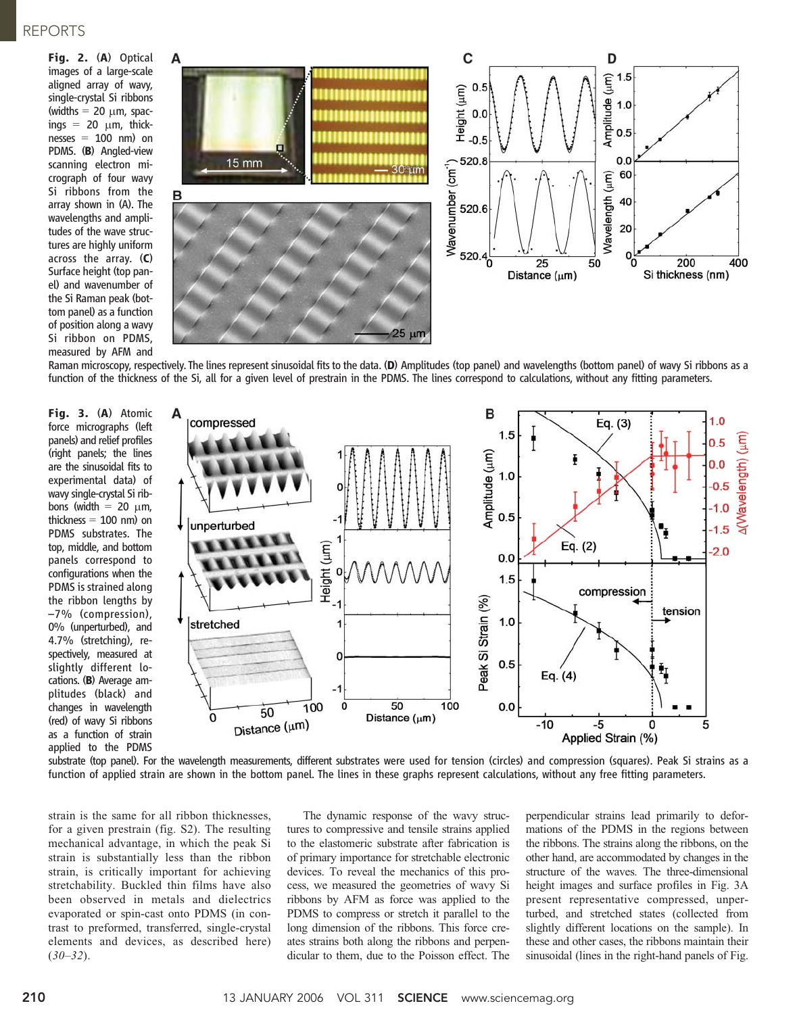Fig. 2. (A) Optical images of a large-scale aligned array of wavy, single-crystal Si ribbons (widths  $= 20 \mu m$ , spacings  $= 20 \mu m$ , thick $ness = 100$  nm) on PDMS. (B) Angled-view scanning electron micrograph of four wavy Si ribbons from the array shown in (A). The wavelengths and amplitudes of the wave structures are highly uniform across the array. (C) Surface height (top panel) and wavenumber of the Si Raman peak (bottom panel) as a function of position along a wavy Si ribbon on PDMS, measured by AFM and



Raman microscopy, respectively. The lines represent sinusoidal fits to the data. (D) Amplitudes (top panel) and wavelengths (bottom panel) of wavy Si ribbons as a function of the thickness of the Si, all for a given level of prestrain in the PDMS. The lines correspond to calculations, without any fitting parameters.

Fig. 3. (A) Atomic force micrographs (left panels) and relief profiles (right panels; the lines are the sinusoidal fits to experimental data) of wavy single-crystal Si ribbons (width  $= 20 \mu m$ , thickness  $= 100$  nm) on PDMS substrates. The top, middle, and bottom panels correspond to configurations when the PDMS is strained along the ribbon lengths by –7% (compression), 0% (unperturbed), and 4.7% (stretching), respectively, measured at slightly different locations. (B) Average amplitudes (black) and changes in wavelength (red) of wavy Si ribbons as a function of strain applied to the PDMS



substrate (top panel). For the wavelength measurements, different substrates were used for tension (circles) and compression (squares). Peak Si strains as a function of applied strain are shown in the bottom panel. The lines in these graphs represent calculations, without any free fitting parameters.

strain is the same for all ribbon thicknesses, for a given prestrain (fig. S2). The resulting mechanical advantage, in which the peak Si strain is substantially less than the ribbon strain, is critically important for achieving stretchability. Buckled thin films have also been observed in metals and dielectrics evaporated or spin-cast onto PDMS (in contrast to preformed, transferred, single-crystal elements and devices, as described here)  $(30-32)$ .

The dynamic response of the wavy structures to compressive and tensile strains applied to the elastomeric substrate after fabrication is of primary importance for stretchable electronic devices. To reveal the mechanics of this process, we measured the geometries of wavy Si ribbons by AFM as force was applied to the PDMS to compress or stretch it parallel to the long dimension of the ribbons. This force creates strains both along the ribbons and perpendicular to them, due to the Poisson effect. The

perpendicular strains lead primarily to deformations of the PDMS in the regions between the ribbons. The strains along the ribbons, on the other hand, are accommodated by changes in the structure of the waves. The three-dimensional height images and surface profiles in Fig. 3A present representative compressed, unperturbed, and stretched states (collected from slightly different locations on the sample). In these and other cases, the ribbons maintain their sinusoidal (lines in the right-hand panels of Fig.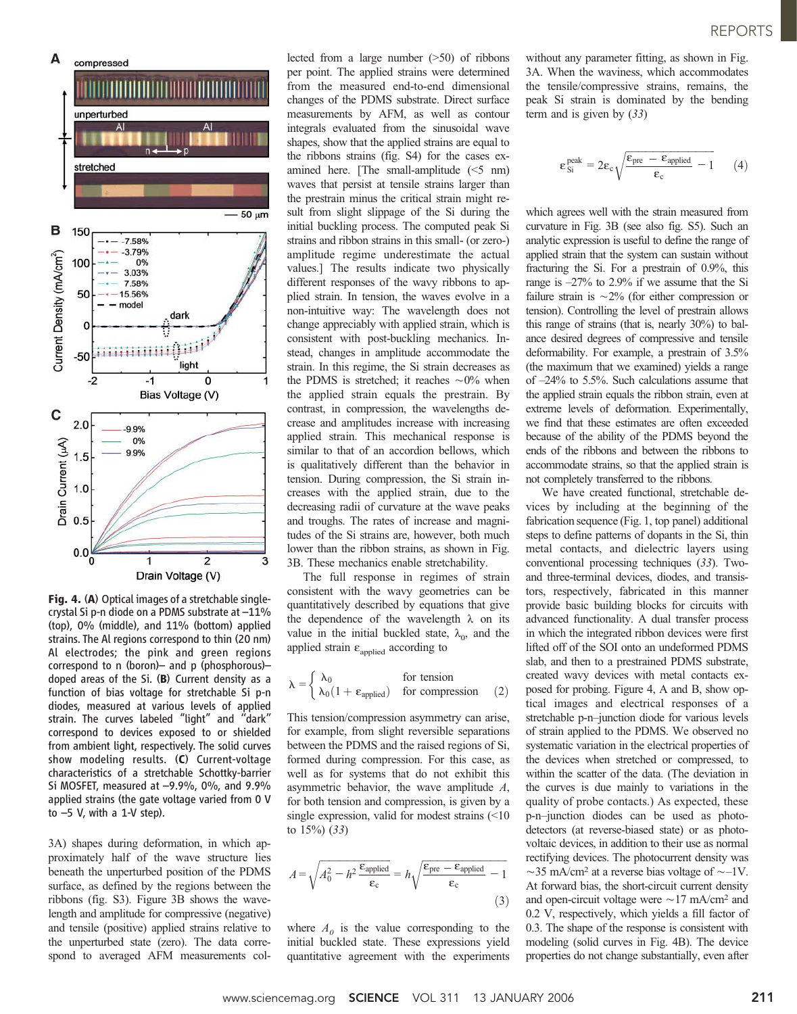

Fig. 4. (A) Optical images of a stretchable singlecrystal Si p-n diode on a PDMS substrate at –11% (top), 0% (middle), and 11% (bottom) applied strains. The Al regions correspond to thin (20 nm) Al electrodes; the pink and green regions correspond to n (boron)– and p (phosphorous)– doped areas of the Si. (B) Current density as a function of bias voltage for stretchable Si p-n diodes, measured at various levels of applied strain. The curves labeled ''light'' and ''dark'' correspond to devices exposed to or shielded from ambient light, respectively. The solid curves show modeling results. (C) Current-voltage characteristics of a stretchable Schottky-barrier Si MOSFET, measured at –9.9%, 0%, and 9.9% applied strains (the gate voltage varied from 0 V to  $-5$  V, with a 1-V step).

3A) shapes during deformation, in which approximately half of the wave structure lies beneath the unperturbed position of the PDMS surface, as defined by the regions between the ribbons (fig. S3). Figure 3B shows the wavelength and amplitude for compressive (negative) and tensile (positive) applied strains relative to the unperturbed state (zero). The data correspond to averaged AFM measurements collected from a large number  $(>50)$  of ribbons per point. The applied strains were determined from the measured end-to-end dimensional changes of the PDMS substrate. Direct surface measurements by AFM, as well as contour integrals evaluated from the sinusoidal wave shapes, show that the applied strains are equal to the ribbons strains (fig. S4) for the cases examined here. [The small-amplitude  $(\leq 5$  nm) waves that persist at tensile strains larger than the prestrain minus the critical strain might result from slight slippage of the Si during the initial buckling process. The computed peak Si strains and ribbon strains in this small- (or zero-) amplitude regime underestimate the actual values.] The results indicate two physically different responses of the wavy ribbons to applied strain. In tension, the waves evolve in a non-intuitive way: The wavelength does not change appreciably with applied strain, which is consistent with post-buckling mechanics. Instead, changes in amplitude accommodate the strain. In this regime, the Si strain decreases as the PDMS is stretched; it reaches  $\sim 0\%$  when the applied strain equals the prestrain. By contrast, in compression, the wavelengths decrease and amplitudes increase with increasing applied strain. This mechanical response is similar to that of an accordion bellows, which is qualitatively different than the behavior in tension. During compression, the Si strain increases with the applied strain, due to the decreasing radii of curvature at the wave peaks and troughs. The rates of increase and magnitudes of the Si strains are, however, both much lower than the ribbon strains, as shown in Fig. 3B. These mechanics enable stretchability.

The full response in regimes of strain consistent with the wavy geometries can be quantitatively described by equations that give the dependence of the wavelength  $\lambda$  on its value in the initial buckled state,  $\lambda_0$ , and the applied strain  $\varepsilon$ <sub>applied</sub> according to

$$
\lambda = \begin{cases} \lambda_0 & \text{for tension} \\ \lambda_0 (1 + \epsilon_{\text{applied}}) & \text{for compression} \end{cases} \tag{2}
$$

This tension/compression asymmetry can arise, for example, from slight reversible separations between the PDMS and the raised regions of Si, formed during compression. For this case, as well as for systems that do not exhibit this asymmetric behavior, the wave amplitude  $A$ , for both tension and compression, is given by a single expression, valid for modest strains  $($  <math display="inline">\leq 10 to 15%) (33)

$$
A = \sqrt{A_0^2 - h^2 \frac{\varepsilon_{\text{applied}}}{\varepsilon_{\text{c}}}} = h \sqrt{\frac{\varepsilon_{\text{pre}} - \varepsilon_{\text{applied}}}{\varepsilon_{\text{c}}} - 1}
$$
(3)

where  $A_0$  is the value corresponding to the initial buckled state. These expressions yield quantitative agreement with the experiments

without any parameter fitting, as shown in Fig. 3A. When the waviness, which accommodates the tensile/compressive strains, remains, the peak Si strain is dominated by the bending term and is given by (33)

$$
\epsilon_{Si}^{peak} = 2 \epsilon_c \sqrt{\frac{\epsilon_{pre} \text{ -- } \epsilon_{applied}}{\epsilon_c} - 1} \qquad (4)
$$

which agrees well with the strain measured from curvature in Fig. 3B (see also fig. S5). Such an analytic expression is useful to define the range of applied strain that the system can sustain without fracturing the Si. For a prestrain of 0.9%, this range is –27% to 2.9% if we assume that the Si failure strain is  $\sim$  2% (for either compression or tension). Controlling the level of prestrain allows this range of strains (that is, nearly 30%) to balance desired degrees of compressive and tensile deformability. For example, a prestrain of 3.5% (the maximum that we examined) yields a range of –24% to 5.5%. Such calculations assume that the applied strain equals the ribbon strain, even at extreme levels of deformation. Experimentally, we find that these estimates are often exceeded because of the ability of the PDMS beyond the ends of the ribbons and between the ribbons to accommodate strains, so that the applied strain is not completely transferred to the ribbons.

We have created functional, stretchable devices by including at the beginning of the fabrication sequence (Fig. 1, top panel) additional steps to define patterns of dopants in the Si, thin metal contacts, and dielectric layers using conventional processing techniques (33). Twoand three-terminal devices, diodes, and transistors, respectively, fabricated in this manner provide basic building blocks for circuits with advanced functionality. A dual transfer process in which the integrated ribbon devices were first lifted off of the SOI onto an undeformed PDMS slab, and then to a prestrained PDMS substrate, created wavy devices with metal contacts exposed for probing. Figure 4, A and B, show optical images and electrical responses of a stretchable p-n–junction diode for various levels of strain applied to the PDMS. We observed no systematic variation in the electrical properties of the devices when stretched or compressed, to within the scatter of the data. (The deviation in the curves is due mainly to variations in the quality of probe contacts.) As expected, these p-n–junction diodes can be used as photodetectors (at reverse-biased state) or as photovoltaic devices, in addition to their use as normal rectifying devices. The photocurrent density was  $\sim$ 35 mA/cm<sup>2</sup> at a reverse bias voltage of  $\sim$ -1V. At forward bias, the short-circuit current density and open-circuit voltage were  $\sim$  17 mA/cm<sup>2</sup> and 0.2 V, respectively, which yields a fill factor of 0.3. The shape of the response is consistent with modeling (solid curves in Fig. 4B). The device properties do not change substantially, even after